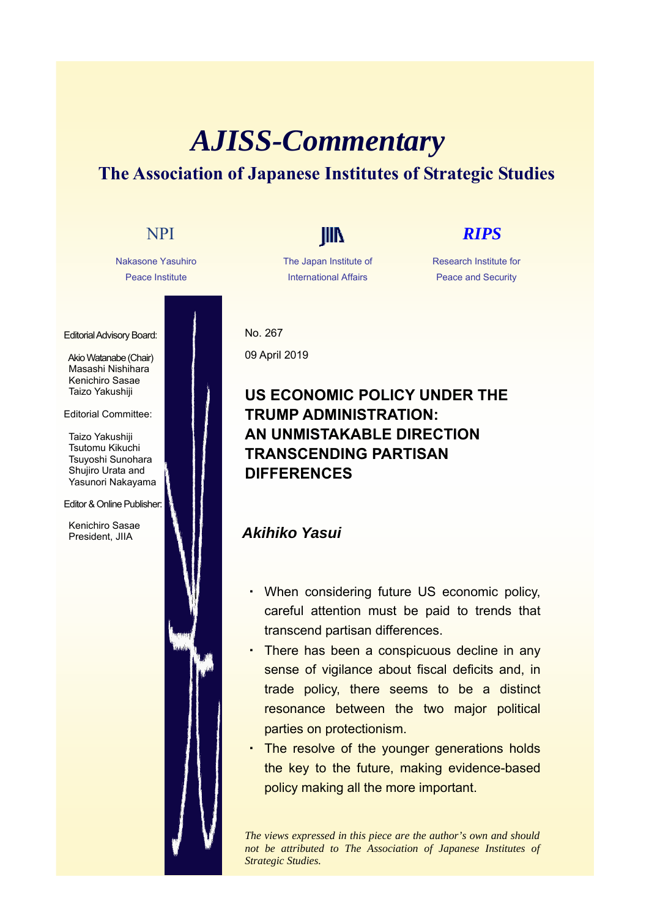# *AJISS-Commentary* **The Association of Japanese Institutes of Strategic Studies**

Nakasone Yasuhiro Peace Institute

Editorial Advisory Board:

Akio Watanabe (Chair) Masashi Nishihara Kenichiro Sasae Taizo Yakushiji

Editorial Committee:

Taizo Yakushiji Tsutomu Kikuchi Tsuyoshi Sunohara Shujiro Urata and Yasunori Nakayama

### Editor & Online Publisher:

Kenichiro Sasae President, JIIA

The Japan Institute of International Affairs

## NPI **IIII** *RIPS*

Research Institute for Peace and Security

No. 267 09 April 2019

### **US ECONOMIC POLICY UNDER THE TRUMP ADMINISTRATION: AN UNMISTAKABLE DIRECTION TRANSCENDING PARTISAN DIFFERENCES**

### *Akihiko Yasui*

- ・ When considering future US economic policy, careful attention must be paid to trends that transcend partisan differences.
- There has been a conspicuous decline in any sense of vigilance about fiscal deficits and, in trade policy, there seems to be a distinct resonance between the two major political parties on protectionism.
- ・ The resolve of the younger generations holds the key to the future, making evidence-based policy making all the more important.

*The views expressed in this piece are the author's own and should not be attributed to The Association of Japanese Institutes of Strategic Studies.*

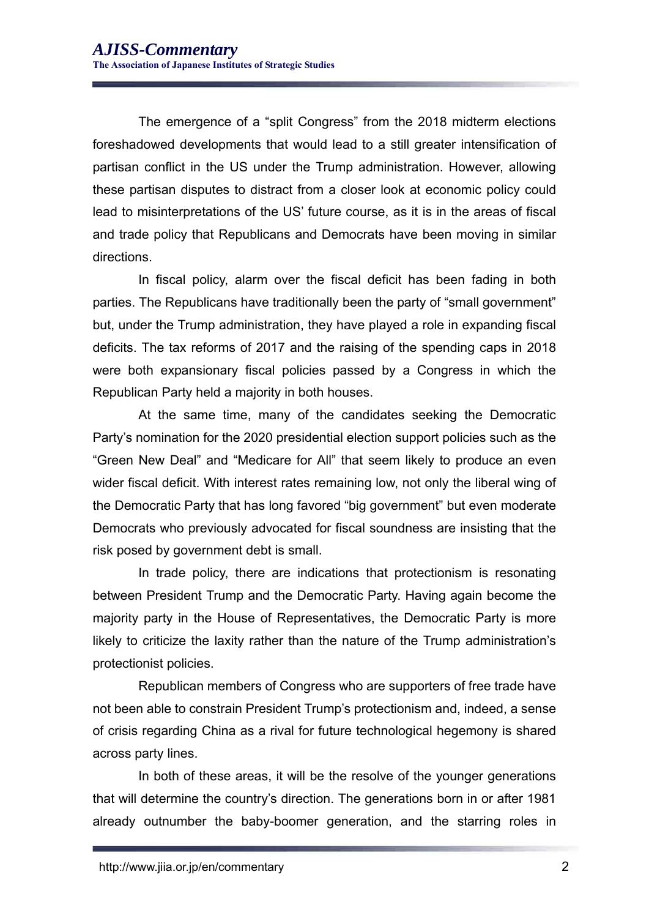The emergence of a "split Congress" from the 2018 midterm elections foreshadowed developments that would lead to a still greater intensification of partisan conflict in the US under the Trump administration. However, allowing these partisan disputes to distract from a closer look at economic policy could lead to misinterpretations of the US' future course, as it is in the areas of fiscal and trade policy that Republicans and Democrats have been moving in similar directions.

In fiscal policy, alarm over the fiscal deficit has been fading in both parties. The Republicans have traditionally been the party of "small government" but, under the Trump administration, they have played a role in expanding fiscal deficits. The tax reforms of 2017 and the raising of the spending caps in 2018 were both expansionary fiscal policies passed by a Congress in which the Republican Party held a majority in both houses.

At the same time, many of the candidates seeking the Democratic Party's nomination for the 2020 presidential election support policies such as the "Green New Deal" and "Medicare for All" that seem likely to produce an even wider fiscal deficit. With interest rates remaining low, not only the liberal wing of the Democratic Party that has long favored "big government" but even moderate Democrats who previously advocated for fiscal soundness are insisting that the risk posed by government debt is small.

In trade policy, there are indications that protectionism is resonating between President Trump and the Democratic Party. Having again become the majority party in the House of Representatives, the Democratic Party is more likely to criticize the laxity rather than the nature of the Trump administration's protectionist policies.

Republican members of Congress who are supporters of free trade have not been able to constrain President Trump's protectionism and, indeed, a sense of crisis regarding China as a rival for future technological hegemony is shared across party lines.

In both of these areas, it will be the resolve of the younger generations that will determine the country's direction. The generations born in or after 1981 already outnumber the baby-boomer generation, and the starring roles in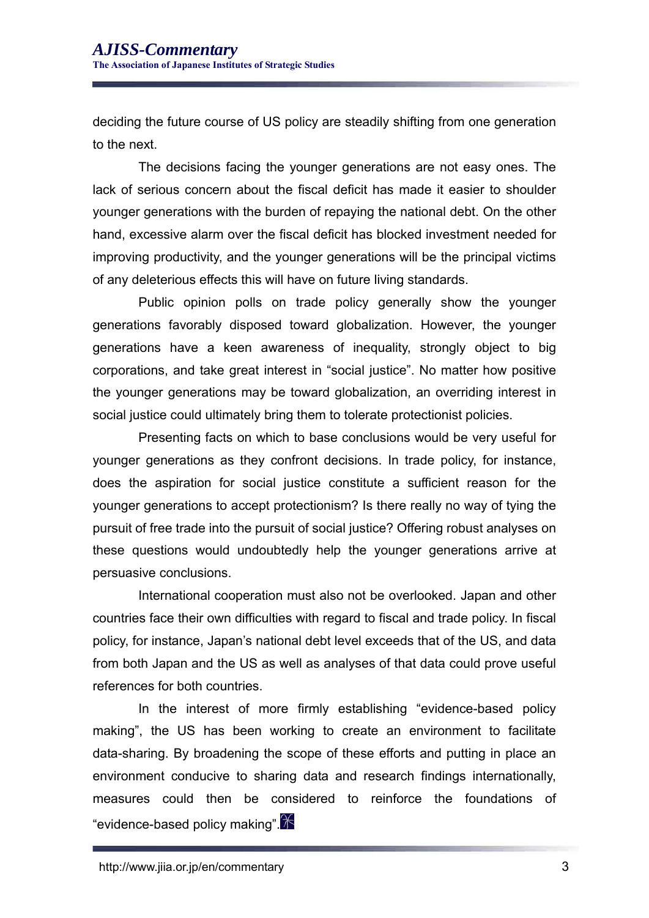deciding the future course of US policy are steadily shifting from one generation to the next.

The decisions facing the younger generations are not easy ones. The lack of serious concern about the fiscal deficit has made it easier to shoulder younger generations with the burden of repaying the national debt. On the other hand, excessive alarm over the fiscal deficit has blocked investment needed for improving productivity, and the younger generations will be the principal victims of any deleterious effects this will have on future living standards.

Public opinion polls on trade policy generally show the younger generations favorably disposed toward globalization. However, the younger generations have a keen awareness of inequality, strongly object to big corporations, and take great interest in "social justice". No matter how positive the younger generations may be toward globalization, an overriding interest in social justice could ultimately bring them to tolerate protectionist policies.

Presenting facts on which to base conclusions would be very useful for younger generations as they confront decisions. In trade policy, for instance, does the aspiration for social justice constitute a sufficient reason for the younger generations to accept protectionism? Is there really no way of tying the pursuit of free trade into the pursuit of social justice? Offering robust analyses on these questions would undoubtedly help the younger generations arrive at persuasive conclusions.

International cooperation must also not be overlooked. Japan and other countries face their own difficulties with regard to fiscal and trade policy. In fiscal policy, for instance, Japan's national debt level exceeds that of the US, and data from both Japan and the US as well as analyses of that data could prove useful references for both countries.

In the interest of more firmly establishing "evidence-based policy making", the US has been working to create an environment to facilitate data-sharing. By broadening the scope of these efforts and putting in place an environment conducive to sharing data and research findings internationally, measures could then be considered to reinforce the foundations of "evidence-based policy making". $\cancel{\mathbb{X}}$